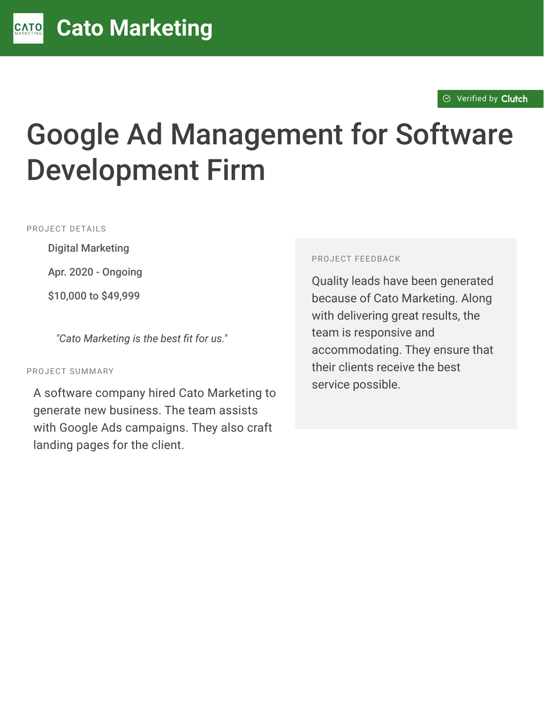# Google Ad Management for Software Development Firm

#### PROJECT DETAILS

**Digital Marketing** 

Apr. 2020 - Ongoing

\$10,000 to \$49,999

"Cato Marketing is the best fit for us."

#### PROJECT SUMMARY

A software company hired Cato Marketing to generate new business. The team assists with Google Ads campaigns. They also craft landing pages for the client.

#### PROJECT FEEDBACK

Quality leads have been generated because of Cato Marketing. Along with delivering great results, the team is responsive and accommodating. They ensure that their clients receive the best service possible.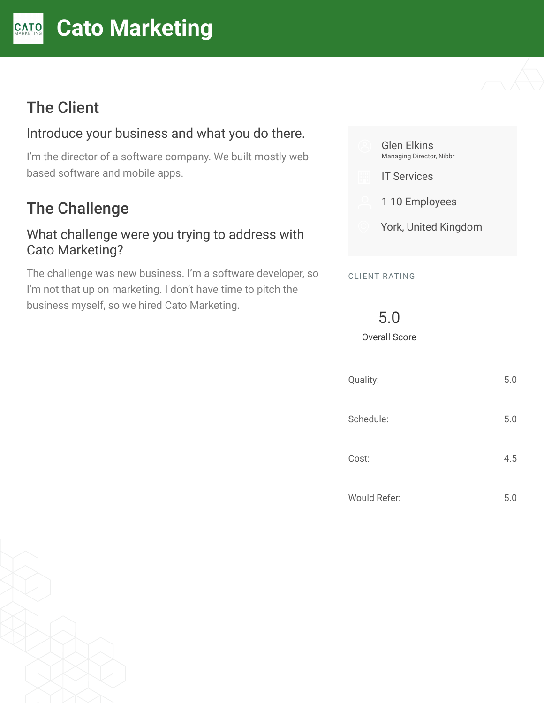#### **[C](https://clutch.co/profile/cato-marketing?utm_source=case_studies&utm_medium=logo)ato Marketing** CATO

# The Client

#### Introduce your business and what you do there.

I'm the director of a software company. We built mostly webbased software and mobile apps.

## The Challenge

#### What challenge were you trying to address with Cato Marketing?

The challenge was new business. I'm a software developer, so I'm not that up on marketing. I don't have time to pitch the business myself, so we hired Cato Marketing.

|                      | <b>Glen Elkins</b><br>Managing Director, Nibbr<br><b>IT Services</b><br>1-10 Employees<br>York, United Kingdom |     |
|----------------------|----------------------------------------------------------------------------------------------------------------|-----|
| <b>CLIENT RATING</b> |                                                                                                                |     |
|                      | 5.0<br><b>Overall Score</b>                                                                                    |     |
|                      | Quality:                                                                                                       |     |
| Schedule:            |                                                                                                                | 5.0 |
| Cost:                |                                                                                                                | 4.5 |

Would Refer: 5.0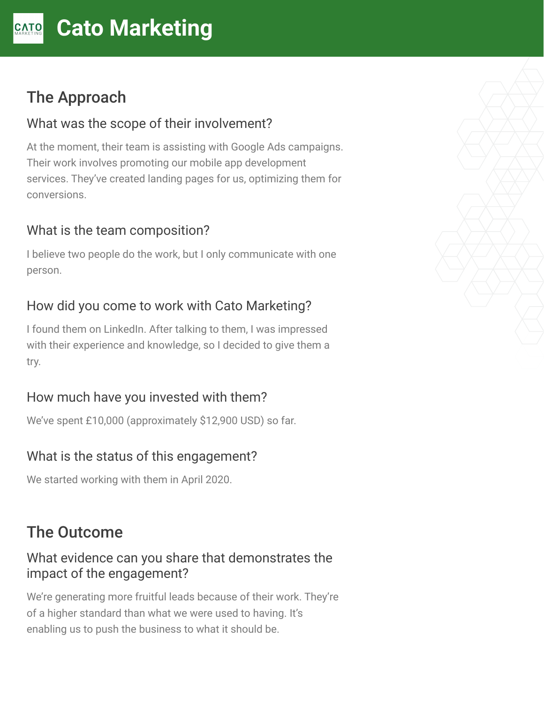# The Approach

#### What was the scope of their involvement?

At the moment, their team is assisting with Google Ads campaigns. Their work involves promoting our mobile app development services. They've created landing pages for us, optimizing them for conversions.

## What is the team composition?

I believe two people do the work, but I only communicate with one person.

## How did you come to work with Cato Marketing?

I found them on LinkedIn. After talking to them, I was impressed with their experience and knowledge, so I decided to give them a try.

## How much have you invested with them?

We've spent £10,000 (approximately \$12,900 USD) so far.

## What is the status of this engagement?

We started working with them in April 2020.

# The Outcome

#### What evidence can you share that demonstrates the impact of the engagement?

We're generating more fruitful leads because of their work. They're of a higher standard than what we were used to having. It's enabling us to push the business to what it should be.